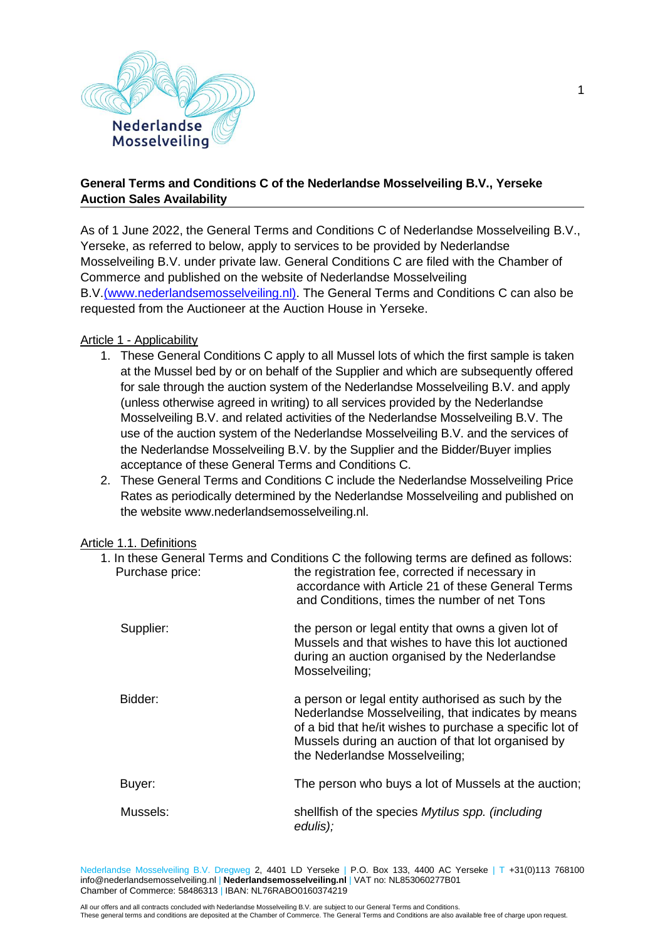

# **General Terms and Conditions C of the Nederlandse Mosselveiling B.V., Yerseke Auction Sales Availability**

As of 1 June 2022, the General Terms and Conditions C of Nederlandse Mosselveiling B.V., Yerseke, as referred to below, apply to services to be provided by Nederlandse Mosselveiling B.V. under private law. General Conditions C are filed with the Chamber of Commerce and published on the website of Nederlandse Mosselveiling B.V[.\(www.nederlandsemosselveiling.nl\).](http://www.nederlandsemosselveiling.nl/) The General Terms and Conditions C can also be requested from the Auctioneer at the Auction House in Yerseke.

#### Article 1 - Applicability

- 1. These General Conditions C apply to all Mussel lots of which the first sample is taken at the Mussel bed by or on behalf of the Supplier and which are subsequently offered for sale through the auction system of the Nederlandse Mosselveiling B.V. and apply (unless otherwise agreed in writing) to all services provided by the Nederlandse Mosselveiling B.V. and related activities of the Nederlandse Mosselveiling B.V. The use of the auction system of the Nederlandse Mosselveiling B.V. and the services of the Nederlandse Mosselveiling B.V. by the Supplier and the Bidder/Buyer implies acceptance of these General Terms and Conditions C.
- 2. These General Terms and Conditions C include the Nederlandse Mosselveiling Price Rates as periodically determined by the Nederlandse Mosselveiling and published on the website www.nederlandsemosselveiling.nl.

#### Article 1.1. Definitions

| Purchase price: | 1. In these General Terms and Conditions C the following terms are defined as follows:<br>the registration fee, corrected if necessary in<br>accordance with Article 21 of these General Terms<br>and Conditions, times the number of net Tons               |
|-----------------|--------------------------------------------------------------------------------------------------------------------------------------------------------------------------------------------------------------------------------------------------------------|
| Supplier:       | the person or legal entity that owns a given lot of<br>Mussels and that wishes to have this lot auctioned<br>during an auction organised by the Nederlandse<br>Mosselveiling;                                                                                |
| Bidder:         | a person or legal entity authorised as such by the<br>Nederlandse Mosselveiling, that indicates by means<br>of a bid that he/it wishes to purchase a specific lot of<br>Mussels during an auction of that lot organised by<br>the Nederlandse Mosselveiling; |
| Buyer:          | The person who buys a lot of Mussels at the auction;                                                                                                                                                                                                         |
| Mussels:        | shellfish of the species Mytilus spp. (including<br>edulis);                                                                                                                                                                                                 |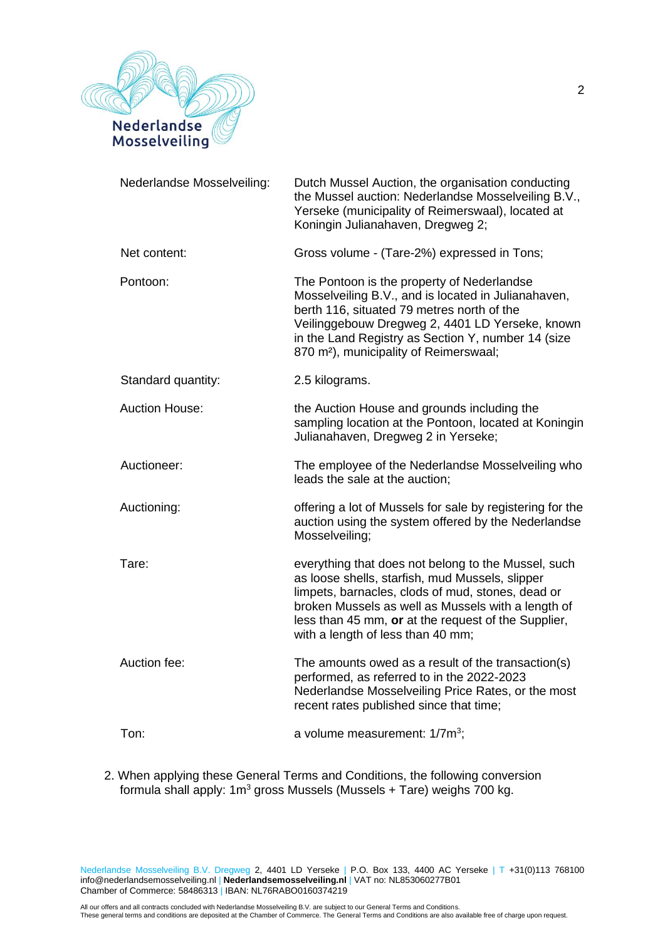

| Nederlandse Mosselveiling: | Dutch Mussel Auction, the organisation conducting<br>the Mussel auction: Nederlandse Mosselveiling B.V.,<br>Yerseke (municipality of Reimerswaal), located at<br>Koningin Julianahaven, Dregweg 2;                                                                                                             |
|----------------------------|----------------------------------------------------------------------------------------------------------------------------------------------------------------------------------------------------------------------------------------------------------------------------------------------------------------|
| Net content:               | Gross volume - (Tare-2%) expressed in Tons;                                                                                                                                                                                                                                                                    |
| Pontoon:                   | The Pontoon is the property of Nederlandse<br>Mosselveiling B.V., and is located in Julianahaven,<br>berth 116, situated 79 metres north of the<br>Veilinggebouw Dregweg 2, 4401 LD Yerseke, known<br>in the Land Registry as Section Y, number 14 (size<br>870 m <sup>2</sup> ), municipality of Reimerswaal; |
| Standard quantity:         | 2.5 kilograms.                                                                                                                                                                                                                                                                                                 |
| <b>Auction House:</b>      | the Auction House and grounds including the<br>sampling location at the Pontoon, located at Koningin<br>Julianahaven, Dregweg 2 in Yerseke;                                                                                                                                                                    |
| Auctioneer:                | The employee of the Nederlandse Mosselveiling who<br>leads the sale at the auction;                                                                                                                                                                                                                            |
| Auctioning:                | offering a lot of Mussels for sale by registering for the<br>auction using the system offered by the Nederlandse<br>Mosselveiling;                                                                                                                                                                             |
| Tare:                      | everything that does not belong to the Mussel, such<br>as loose shells, starfish, mud Mussels, slipper<br>limpets, barnacles, clods of mud, stones, dead or<br>broken Mussels as well as Mussels with a length of<br>less than 45 mm, or at the request of the Supplier,<br>with a length of less than 40 mm;  |
| Auction fee:               | The amounts owed as a result of the transaction(s)<br>performed, as referred to in the 2022-2023<br>Nederlandse Mosselveiling Price Rates, or the most<br>recent rates published since that time;                                                                                                              |
| Ton:                       | a volume measurement: 1/7m <sup>3</sup> ;                                                                                                                                                                                                                                                                      |

2. When applying these General Terms and Conditions, the following conversion formula shall apply: 1m<sup>3</sup> gross Mussels (Mussels + Tare) weighs 700 kg.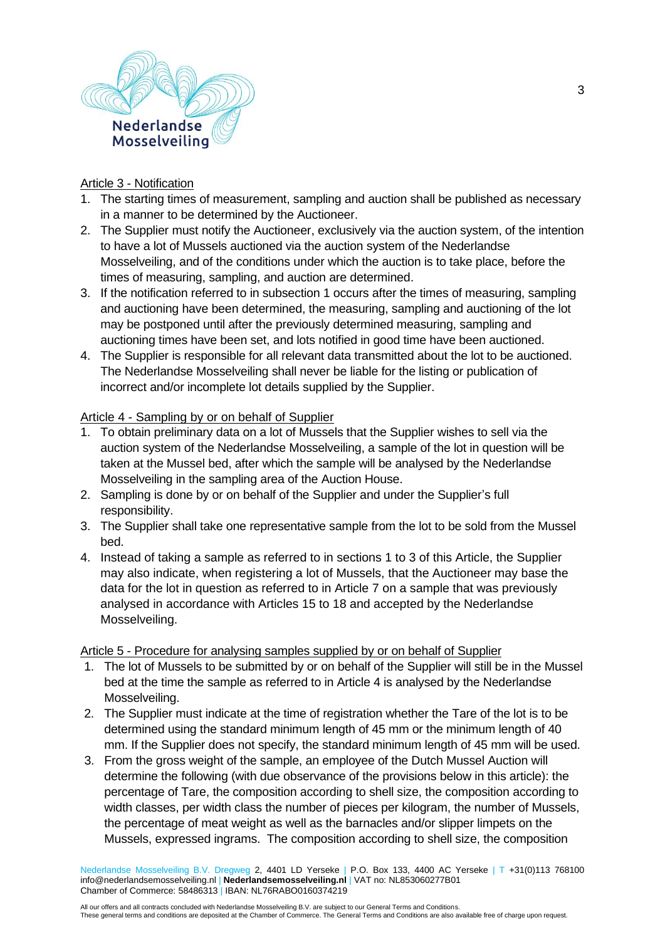

## Article 3 - Notification

- 1. The starting times of measurement, sampling and auction shall be published as necessary in a manner to be determined by the Auctioneer.
- 2. The Supplier must notify the Auctioneer, exclusively via the auction system, of the intention to have a lot of Mussels auctioned via the auction system of the Nederlandse Mosselveiling, and of the conditions under which the auction is to take place, before the times of measuring, sampling, and auction are determined.
- 3. If the notification referred to in subsection 1 occurs after the times of measuring, sampling and auctioning have been determined, the measuring, sampling and auctioning of the lot may be postponed until after the previously determined measuring, sampling and auctioning times have been set, and lots notified in good time have been auctioned.
- 4. The Supplier is responsible for all relevant data transmitted about the lot to be auctioned. The Nederlandse Mosselveiling shall never be liable for the listing or publication of incorrect and/or incomplete lot details supplied by the Supplier.

# Article 4 - Sampling by or on behalf of Supplier

- 1. To obtain preliminary data on a lot of Mussels that the Supplier wishes to sell via the auction system of the Nederlandse Mosselveiling, a sample of the lot in question will be taken at the Mussel bed, after which the sample will be analysed by the Nederlandse Mosselveiling in the sampling area of the Auction House.
- 2. Sampling is done by or on behalf of the Supplier and under the Supplier's full responsibility.
- 3. The Supplier shall take one representative sample from the lot to be sold from the Mussel bed.
- 4. Instead of taking a sample as referred to in sections 1 to 3 of this Article, the Supplier may also indicate, when registering a lot of Mussels, that the Auctioneer may base the data for the lot in question as referred to in Article 7 on a sample that was previously analysed in accordance with Articles 15 to 18 and accepted by the Nederlandse Mosselveiling.

Article 5 - Procedure for analysing samples supplied by or on behalf of Supplier

- 1. The lot of Mussels to be submitted by or on behalf of the Supplier will still be in the Mussel bed at the time the sample as referred to in Article 4 is analysed by the Nederlandse Mosselveiling.
- 2. The Supplier must indicate at the time of registration whether the Tare of the lot is to be determined using the standard minimum length of 45 mm or the minimum length of 40 mm. If the Supplier does not specify, the standard minimum length of 45 mm will be used.
- 3. From the gross weight of the sample, an employee of the Dutch Mussel Auction will determine the following (with due observance of the provisions below in this article): the percentage of Tare, the composition according to shell size, the composition according to width classes, per width class the number of pieces per kilogram, the number of Mussels, the percentage of meat weight as well as the barnacles and/or slipper limpets on the Mussels, expressed ingrams. The composition according to shell size, the composition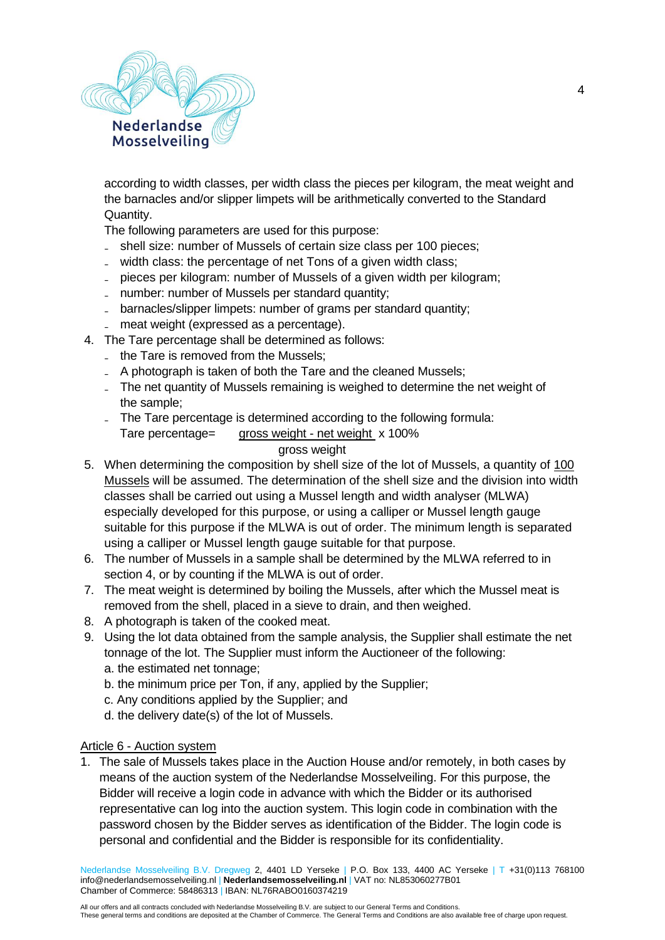

according to width classes, per width class the pieces per kilogram, the meat weight and the barnacles and/or slipper limpets will be arithmetically converted to the Standard Quantity.

The following parameters are used for this purpose:

- shell size: number of Mussels of certain size class per 100 pieces;
- width class: the percentage of net Tons of a given width class;
- ₋ pieces per kilogram: number of Mussels of a given width per kilogram;
- number: number of Mussels per standard quantity;
- barnacles/slipper limpets: number of grams per standard quantity;
- meat weight (expressed as a percentage).
- 4. The Tare percentage shall be determined as follows:
	- the Tare is removed from the Mussels:
	- A photograph is taken of both the Tare and the cleaned Mussels;
	- ₋ The net quantity of Mussels remaining is weighed to determine the net weight of the sample;
	- The Tare percentage is determined according to the following formula:
		- Tare percentage= gross weight net weight x 100%

# gross weight

- 5. When determining the composition by shell size of the lot of Mussels, a quantity of 100 Mussels will be assumed. The determination of the shell size and the division into width classes shall be carried out using a Mussel length and width analyser (MLWA) especially developed for this purpose, or using a calliper or Mussel length gauge suitable for this purpose if the MLWA is out of order. The minimum length is separated using a calliper or Mussel length gauge suitable for that purpose.
- 6. The number of Mussels in a sample shall be determined by the MLWA referred to in section 4, or by counting if the MLWA is out of order.
- 7. The meat weight is determined by boiling the Mussels, after which the Mussel meat is removed from the shell, placed in a sieve to drain, and then weighed.
- 8. A photograph is taken of the cooked meat.
- 9. Using the lot data obtained from the sample analysis, the Supplier shall estimate the net tonnage of the lot. The Supplier must inform the Auctioneer of the following: a. the estimated net tonnage;
	- b. the minimum price per Ton, if any, applied by the Supplier;
	- c. Any conditions applied by the Supplier; and
	- d. the delivery date(s) of the lot of Mussels.

## Article 6 - Auction system

1. The sale of Mussels takes place in the Auction House and/or remotely, in both cases by means of the auction system of the Nederlandse Mosselveiling. For this purpose, the Bidder will receive a login code in advance with which the Bidder or its authorised representative can log into the auction system. This login code in combination with the password chosen by the Bidder serves as identification of the Bidder. The login code is personal and confidential and the Bidder is responsible for its confidentiality.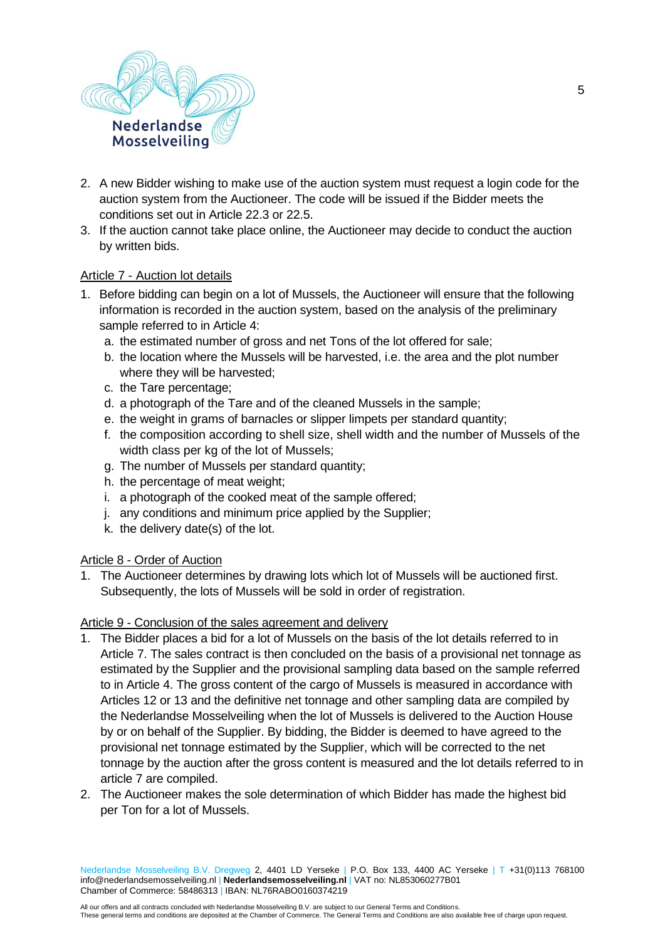

- 2. A new Bidder wishing to make use of the auction system must request a login code for the auction system from the Auctioneer. The code will be issued if the Bidder meets the conditions set out in Article 22.3 or 22.5.
- 3. If the auction cannot take place online, the Auctioneer may decide to conduct the auction by written bids.

#### Article 7 - Auction lot details

- 1. Before bidding can begin on a lot of Mussels, the Auctioneer will ensure that the following information is recorded in the auction system, based on the analysis of the preliminary sample referred to in Article 4:
	- a. the estimated number of gross and net Tons of the lot offered for sale;
	- b. the location where the Mussels will be harvested, i.e. the area and the plot number where they will be harvested;
	- c. the Tare percentage;
	- d. a photograph of the Tare and of the cleaned Mussels in the sample;
	- e. the weight in grams of barnacles or slipper limpets per standard quantity;
	- f. the composition according to shell size, shell width and the number of Mussels of the width class per kg of the lot of Mussels;
	- g. The number of Mussels per standard quantity;
	- h. the percentage of meat weight;
	- i. a photograph of the cooked meat of the sample offered;
	- j. any conditions and minimum price applied by the Supplier;
	- k. the delivery date(s) of the lot.

### Article 8 - Order of Auction

1. The Auctioneer determines by drawing lots which lot of Mussels will be auctioned first. Subsequently, the lots of Mussels will be sold in order of registration.

#### Article 9 - Conclusion of the sales agreement and delivery

- 1. The Bidder places a bid for a lot of Mussels on the basis of the lot details referred to in Article 7. The sales contract is then concluded on the basis of a provisional net tonnage as estimated by the Supplier and the provisional sampling data based on the sample referred to in Article 4. The gross content of the cargo of Mussels is measured in accordance with Articles 12 or 13 and the definitive net tonnage and other sampling data are compiled by the Nederlandse Mosselveiling when the lot of Mussels is delivered to the Auction House by or on behalf of the Supplier. By bidding, the Bidder is deemed to have agreed to the provisional net tonnage estimated by the Supplier, which will be corrected to the net tonnage by the auction after the gross content is measured and the lot details referred to in article 7 are compiled.
- 2. The Auctioneer makes the sole determination of which Bidder has made the highest bid per Ton for a lot of Mussels.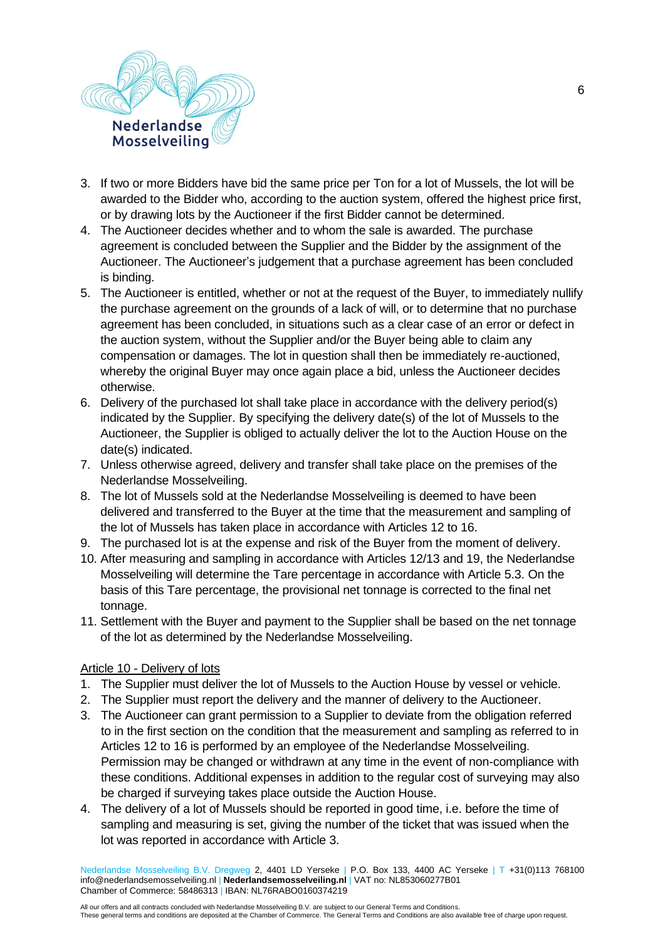

- 3. If two or more Bidders have bid the same price per Ton for a lot of Mussels, the lot will be awarded to the Bidder who, according to the auction system, offered the highest price first, or by drawing lots by the Auctioneer if the first Bidder cannot be determined.
- 4. The Auctioneer decides whether and to whom the sale is awarded. The purchase agreement is concluded between the Supplier and the Bidder by the assignment of the Auctioneer. The Auctioneer's judgement that a purchase agreement has been concluded is binding.
- 5. The Auctioneer is entitled, whether or not at the request of the Buyer, to immediately nullify the purchase agreement on the grounds of a lack of will, or to determine that no purchase agreement has been concluded, in situations such as a clear case of an error or defect in the auction system, without the Supplier and/or the Buyer being able to claim any compensation or damages. The lot in question shall then be immediately re-auctioned, whereby the original Buyer may once again place a bid, unless the Auctioneer decides otherwise.
- 6. Delivery of the purchased lot shall take place in accordance with the delivery period(s) indicated by the Supplier. By specifying the delivery date(s) of the lot of Mussels to the Auctioneer, the Supplier is obliged to actually deliver the lot to the Auction House on the date(s) indicated.
- 7. Unless otherwise agreed, delivery and transfer shall take place on the premises of the Nederlandse Mosselveiling.
- 8. The lot of Mussels sold at the Nederlandse Mosselveiling is deemed to have been delivered and transferred to the Buyer at the time that the measurement and sampling of the lot of Mussels has taken place in accordance with Articles 12 to 16.
- 9. The purchased lot is at the expense and risk of the Buyer from the moment of delivery.
- 10. After measuring and sampling in accordance with Articles 12/13 and 19, the Nederlandse Mosselveiling will determine the Tare percentage in accordance with Article 5.3. On the basis of this Tare percentage, the provisional net tonnage is corrected to the final net tonnage.
- 11. Settlement with the Buyer and payment to the Supplier shall be based on the net tonnage of the lot as determined by the Nederlandse Mosselveiling.

## Article 10 - Delivery of lots

- 1. The Supplier must deliver the lot of Mussels to the Auction House by vessel or vehicle.
- 2. The Supplier must report the delivery and the manner of delivery to the Auctioneer.
- 3. The Auctioneer can grant permission to a Supplier to deviate from the obligation referred to in the first section on the condition that the measurement and sampling as referred to in Articles 12 to 16 is performed by an employee of the Nederlandse Mosselveiling. Permission may be changed or withdrawn at any time in the event of non-compliance with these conditions. Additional expenses in addition to the regular cost of surveying may also be charged if surveying takes place outside the Auction House.
- 4. The delivery of a lot of Mussels should be reported in good time, i.e. before the time of sampling and measuring is set, giving the number of the ticket that was issued when the lot was reported in accordance with Article 3.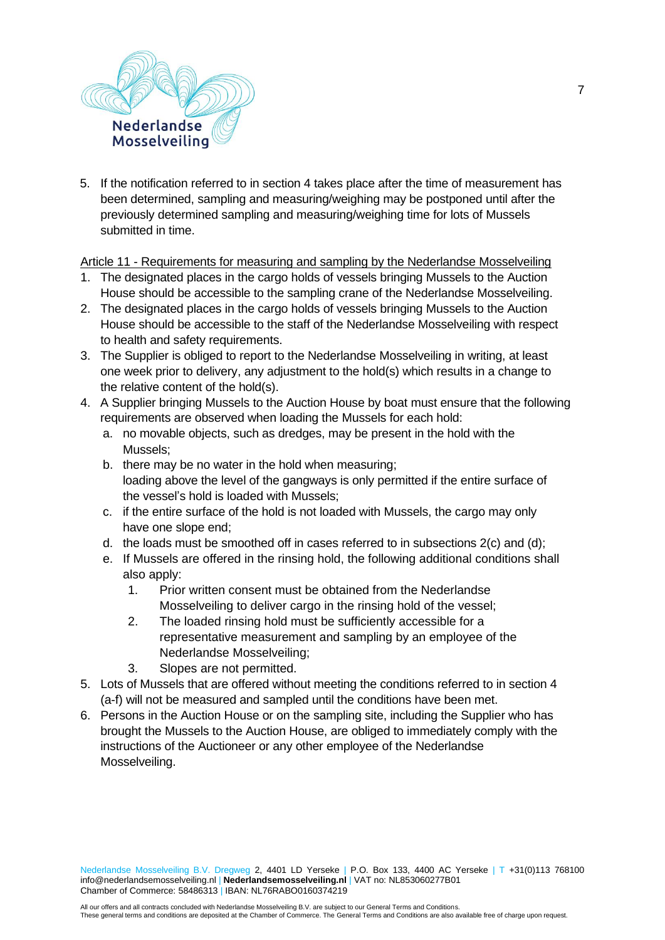

5. If the notification referred to in section 4 takes place after the time of measurement has been determined, sampling and measuring/weighing may be postponed until after the previously determined sampling and measuring/weighing time for lots of Mussels submitted in time.

Article 11 - Requirements for measuring and sampling by the Nederlandse Mosselveiling

- 1. The designated places in the cargo holds of vessels bringing Mussels to the Auction House should be accessible to the sampling crane of the Nederlandse Mosselveiling.
- 2. The designated places in the cargo holds of vessels bringing Mussels to the Auction House should be accessible to the staff of the Nederlandse Mosselveiling with respect to health and safety requirements.
- 3. The Supplier is obliged to report to the Nederlandse Mosselveiling in writing, at least one week prior to delivery, any adjustment to the hold(s) which results in a change to the relative content of the hold(s).
- 4. A Supplier bringing Mussels to the Auction House by boat must ensure that the following requirements are observed when loading the Mussels for each hold:
	- a. no movable objects, such as dredges, may be present in the hold with the Mussels;
	- b. there may be no water in the hold when measuring; loading above the level of the gangways is only permitted if the entire surface of the vessel's hold is loaded with Mussels;
	- c. if the entire surface of the hold is not loaded with Mussels, the cargo may only have one slope end;
	- d. the loads must be smoothed off in cases referred to in subsections 2(c) and (d);
	- e. If Mussels are offered in the rinsing hold, the following additional conditions shall also apply:
		- 1. Prior written consent must be obtained from the Nederlandse Mosselveiling to deliver cargo in the rinsing hold of the vessel;
		- 2. The loaded rinsing hold must be sufficiently accessible for a representative measurement and sampling by an employee of the Nederlandse Mosselveiling;
		- 3. Slopes are not permitted.
- 5. Lots of Mussels that are offered without meeting the conditions referred to in section 4 (a-f) will not be measured and sampled until the conditions have been met.
- 6. Persons in the Auction House or on the sampling site, including the Supplier who has brought the Mussels to the Auction House, are obliged to immediately comply with the instructions of the Auctioneer or any other employee of the Nederlandse Mosselveiling.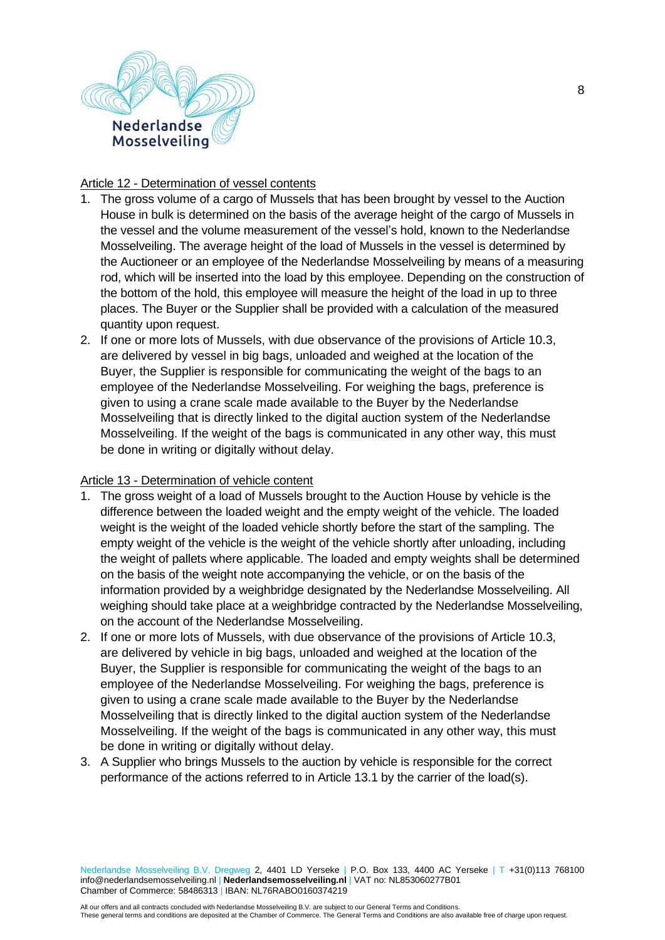

## Article 12 - Determination of vessel contents

- 1. The gross volume of a cargo of Mussels that has been brought by vessel to the Auction House in bulk is determined on the basis of the average height of the cargo of Mussels in the vessel and the volume measurement of the vessel's hold, known to the Nederlandse Mosselveiling. The average height of the load of Mussels in the vessel is determined by the Auctioneer or an employee of the Nederlandse Mosselveiling by means of a measuring rod, which will be inserted into the load by this employee. Depending on the construction of the bottom of the hold, this employee will measure the height of the load in up to three places. The Buyer or the Supplier shall be provided with a calculation of the measured quantity upon request.
- 2. If one or more lots of Mussels, with due observance of the provisions of Article 10.3, are delivered by vessel in big bags, unloaded and weighed at the location of the Buyer, the Supplier is responsible for communicating the weight of the bags to an employee of the Nederlandse Mosselveiling. For weighing the bags, preference is given to using a crane scale made available to the Buyer by the Nederlandse Mosselveiling that is directly linked to the digital auction system of the Nederlandse Mosselveiling. If the weight of the bags is communicated in any other way, this must be done in writing or digitally without delay.

## Article 13 - Determination of vehicle content

- 1. The gross weight of a load of Mussels brought to the Auction House by vehicle is the difference between the loaded weight and the empty weight of the vehicle. The loaded weight is the weight of the loaded vehicle shortly before the start of the sampling. The empty weight of the vehicle is the weight of the vehicle shortly after unloading, including the weight of pallets where applicable. The loaded and empty weights shall be determined on the basis of the weight note accompanying the vehicle, or on the basis of the information provided by a weighbridge designated by the Nederlandse Mosselveiling. All weighing should take place at a weighbridge contracted by the Nederlandse Mosselveiling, on the account of the Nederlandse Mosselveiling.
- 2. If one or more lots of Mussels, with due observance of the provisions of Article 10.3, are delivered by vehicle in big bags, unloaded and weighed at the location of the Buyer, the Supplier is responsible for communicating the weight of the bags to an employee of the Nederlandse Mosselveiling. For weighing the bags, preference is given to using a crane scale made available to the Buyer by the Nederlandse Mosselveiling that is directly linked to the digital auction system of the Nederlandse Mosselveiling. If the weight of the bags is communicated in any other way, this must be done in writing or digitally without delay.
- 3. A Supplier who brings Mussels to the auction by vehicle is responsible for the correct performance of the actions referred to in Article 13.1 by the carrier of the load(s).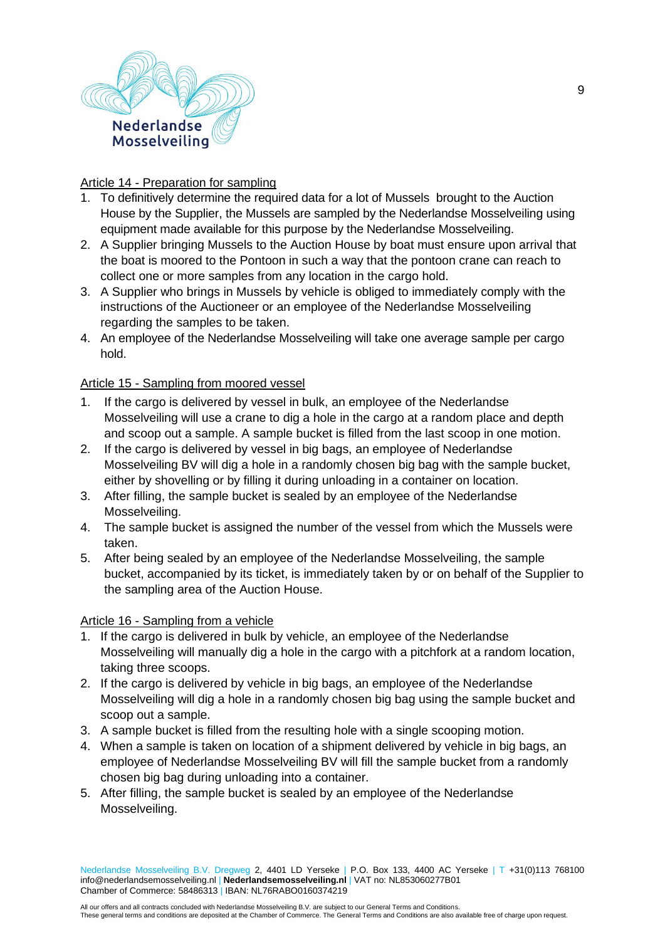

# Article 14 - Preparation for sampling

- 1. To definitively determine the required data for a lot of Mussels brought to the Auction House by the Supplier, the Mussels are sampled by the Nederlandse Mosselveiling using equipment made available for this purpose by the Nederlandse Mosselveiling.
- 2. A Supplier bringing Mussels to the Auction House by boat must ensure upon arrival that the boat is moored to the Pontoon in such a way that the pontoon crane can reach to collect one or more samples from any location in the cargo hold.
- 3. A Supplier who brings in Mussels by vehicle is obliged to immediately comply with the instructions of the Auctioneer or an employee of the Nederlandse Mosselveiling regarding the samples to be taken.
- 4. An employee of the Nederlandse Mosselveiling will take one average sample per cargo hold.

# Article 15 - Sampling from moored vessel

- 1. If the cargo is delivered by vessel in bulk, an employee of the Nederlandse Mosselveiling will use a crane to dig a hole in the cargo at a random place and depth and scoop out a sample. A sample bucket is filled from the last scoop in one motion.
- 2. If the cargo is delivered by vessel in big bags, an employee of Nederlandse Mosselveiling BV will dig a hole in a randomly chosen big bag with the sample bucket, either by shovelling or by filling it during unloading in a container on location.
- 3. After filling, the sample bucket is sealed by an employee of the Nederlandse Mosselveiling.
- 4. The sample bucket is assigned the number of the vessel from which the Mussels were taken.
- 5. After being sealed by an employee of the Nederlandse Mosselveiling, the sample bucket, accompanied by its ticket, is immediately taken by or on behalf of the Supplier to the sampling area of the Auction House.

# Article 16 - Sampling from a vehicle

- 1. If the cargo is delivered in bulk by vehicle, an employee of the Nederlandse Mosselveiling will manually dig a hole in the cargo with a pitchfork at a random location, taking three scoops.
- 2. If the cargo is delivered by vehicle in big bags, an employee of the Nederlandse Mosselveiling will dig a hole in a randomly chosen big bag using the sample bucket and scoop out a sample.
- 3. A sample bucket is filled from the resulting hole with a single scooping motion.
- 4. When a sample is taken on location of a shipment delivered by vehicle in big bags, an employee of Nederlandse Mosselveiling BV will fill the sample bucket from a randomly chosen big bag during unloading into a container.
- 5. After filling, the sample bucket is sealed by an employee of the Nederlandse Mosselveiling.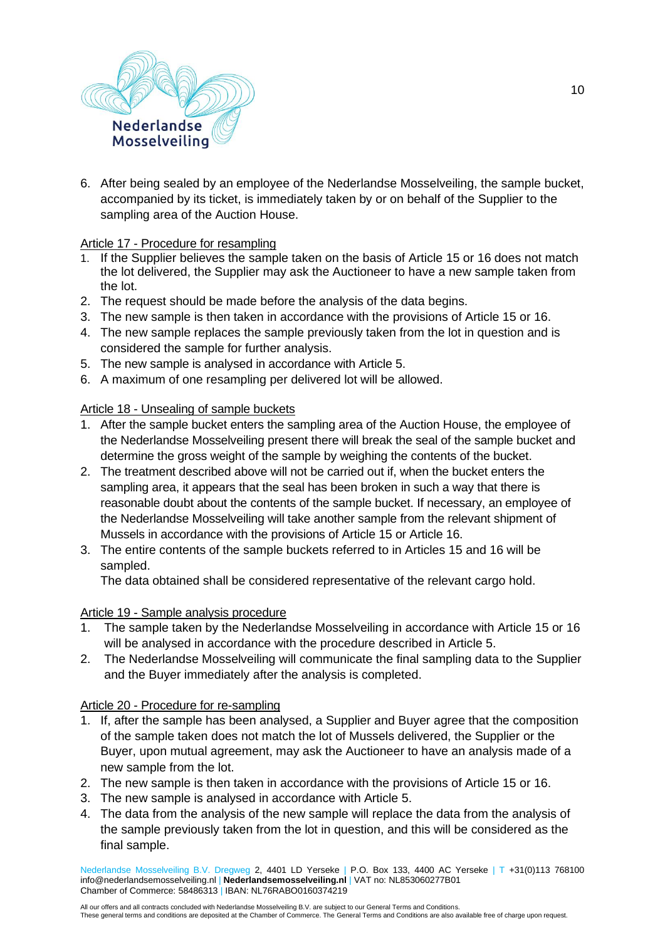

6. After being sealed by an employee of the Nederlandse Mosselveiling, the sample bucket, accompanied by its ticket, is immediately taken by or on behalf of the Supplier to the sampling area of the Auction House.

#### Article 17 - Procedure for resampling

- 1. If the Supplier believes the sample taken on the basis of Article 15 or 16 does not match the lot delivered, the Supplier may ask the Auctioneer to have a new sample taken from the lot.
- 2. The request should be made before the analysis of the data begins.
- 3. The new sample is then taken in accordance with the provisions of Article 15 or 16.
- 4. The new sample replaces the sample previously taken from the lot in question and is considered the sample for further analysis.
- 5. The new sample is analysed in accordance with Article 5.
- 6. A maximum of one resampling per delivered lot will be allowed.

#### Article 18 - Unsealing of sample buckets

- 1. After the sample bucket enters the sampling area of the Auction House, the employee of the Nederlandse Mosselveiling present there will break the seal of the sample bucket and determine the gross weight of the sample by weighing the contents of the bucket.
- 2. The treatment described above will not be carried out if, when the bucket enters the sampling area, it appears that the seal has been broken in such a way that there is reasonable doubt about the contents of the sample bucket. If necessary, an employee of the Nederlandse Mosselveiling will take another sample from the relevant shipment of Mussels in accordance with the provisions of Article 15 or Article 16.
- 3. The entire contents of the sample buckets referred to in Articles 15 and 16 will be sampled.

The data obtained shall be considered representative of the relevant cargo hold.

#### Article 19 - Sample analysis procedure

- 1. The sample taken by the Nederlandse Mosselveiling in accordance with Article 15 or 16 will be analysed in accordance with the procedure described in Article 5.
- 2. The Nederlandse Mosselveiling will communicate the final sampling data to the Supplier and the Buyer immediately after the analysis is completed.

#### Article 20 - Procedure for re-sampling

- 1. If, after the sample has been analysed, a Supplier and Buyer agree that the composition of the sample taken does not match the lot of Mussels delivered, the Supplier or the Buyer, upon mutual agreement, may ask the Auctioneer to have an analysis made of a new sample from the lot.
- 2. The new sample is then taken in accordance with the provisions of Article 15 or 16.
- 3. The new sample is analysed in accordance with Article 5.
- 4. The data from the analysis of the new sample will replace the data from the analysis of the sample previously taken from the lot in question, and this will be considered as the final sample.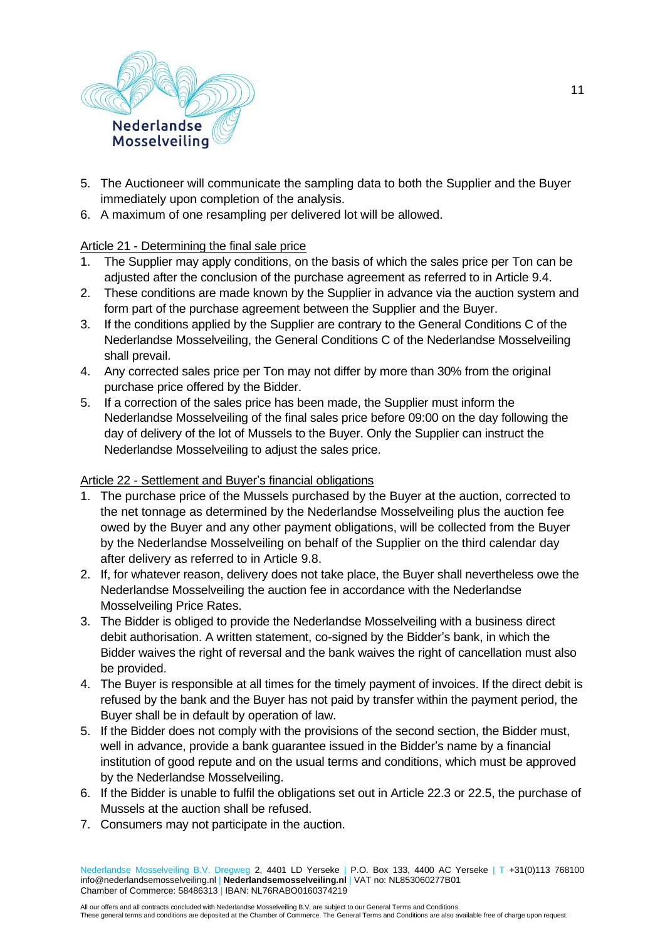

- 5. The Auctioneer will communicate the sampling data to both the Supplier and the Buyer immediately upon completion of the analysis.
- 6. A maximum of one resampling per delivered lot will be allowed.

# Article 21 - Determining the final sale price

- 1. The Supplier may apply conditions, on the basis of which the sales price per Ton can be adjusted after the conclusion of the purchase agreement as referred to in Article 9.4.
- 2. These conditions are made known by the Supplier in advance via the auction system and form part of the purchase agreement between the Supplier and the Buyer.
- 3. If the conditions applied by the Supplier are contrary to the General Conditions C of the Nederlandse Mosselveiling, the General Conditions C of the Nederlandse Mosselveiling shall prevail.
- 4. Any corrected sales price per Ton may not differ by more than 30% from the original purchase price offered by the Bidder.
- 5. If a correction of the sales price has been made, the Supplier must inform the Nederlandse Mosselveiling of the final sales price before 09:00 on the day following the day of delivery of the lot of Mussels to the Buyer. Only the Supplier can instruct the Nederlandse Mosselveiling to adjust the sales price.

## Article 22 - Settlement and Buyer's financial obligations

- 1. The purchase price of the Mussels purchased by the Buyer at the auction, corrected to the net tonnage as determined by the Nederlandse Mosselveiling plus the auction fee owed by the Buyer and any other payment obligations, will be collected from the Buyer by the Nederlandse Mosselveiling on behalf of the Supplier on the third calendar day after delivery as referred to in Article 9.8.
- 2. If, for whatever reason, delivery does not take place, the Buyer shall nevertheless owe the Nederlandse Mosselveiling the auction fee in accordance with the Nederlandse Mosselveiling Price Rates.
- 3. The Bidder is obliged to provide the Nederlandse Mosselveiling with a business direct debit authorisation. A written statement, co-signed by the Bidder's bank, in which the Bidder waives the right of reversal and the bank waives the right of cancellation must also be provided.
- 4. The Buyer is responsible at all times for the timely payment of invoices. If the direct debit is refused by the bank and the Buyer has not paid by transfer within the payment period, the Buyer shall be in default by operation of law.
- 5. If the Bidder does not comply with the provisions of the second section, the Bidder must, well in advance, provide a bank guarantee issued in the Bidder's name by a financial institution of good repute and on the usual terms and conditions, which must be approved by the Nederlandse Mosselveiling.
- 6. If the Bidder is unable to fulfil the obligations set out in Article 22.3 or 22.5, the purchase of Mussels at the auction shall be refused.
- 7. Consumers may not participate in the auction.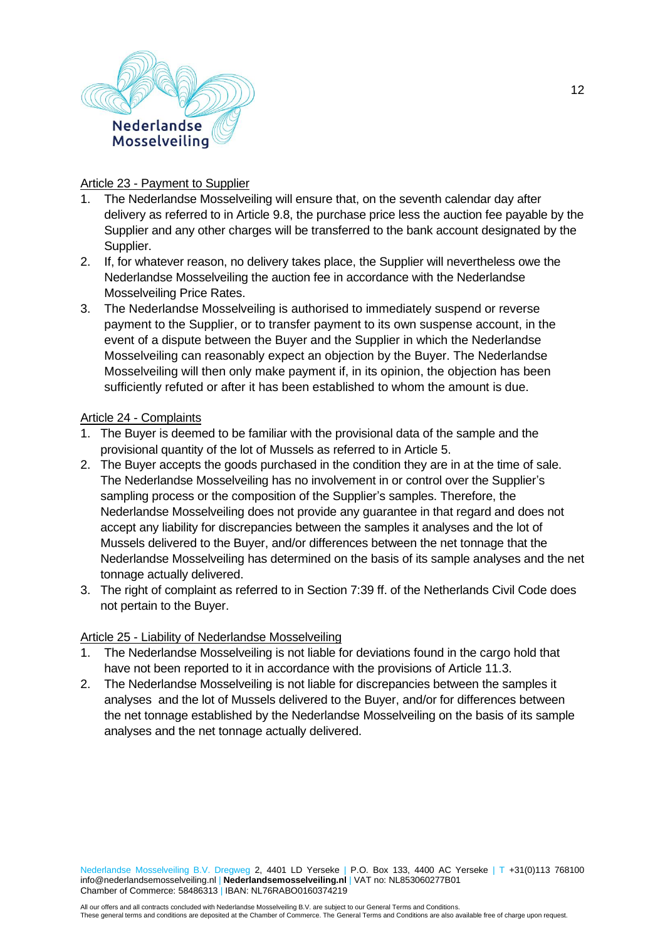

## Article 23 - Payment to Supplier

- 1. The Nederlandse Mosselveiling will ensure that, on the seventh calendar day after delivery as referred to in Article 9.8, the purchase price less the auction fee payable by the Supplier and any other charges will be transferred to the bank account designated by the Supplier.
- 2. If, for whatever reason, no delivery takes place, the Supplier will nevertheless owe the Nederlandse Mosselveiling the auction fee in accordance with the Nederlandse Mosselveiling Price Rates.
- 3. The Nederlandse Mosselveiling is authorised to immediately suspend or reverse payment to the Supplier, or to transfer payment to its own suspense account, in the event of a dispute between the Buyer and the Supplier in which the Nederlandse Mosselveiling can reasonably expect an objection by the Buyer. The Nederlandse Mosselveiling will then only make payment if, in its opinion, the objection has been sufficiently refuted or after it has been established to whom the amount is due.

## Article 24 - Complaints

- 1. The Buyer is deemed to be familiar with the provisional data of the sample and the provisional quantity of the lot of Mussels as referred to in Article 5.
- 2. The Buyer accepts the goods purchased in the condition they are in at the time of sale. The Nederlandse Mosselveiling has no involvement in or control over the Supplier's sampling process or the composition of the Supplier's samples. Therefore, the Nederlandse Mosselveiling does not provide any guarantee in that regard and does not accept any liability for discrepancies between the samples it analyses and the lot of Mussels delivered to the Buyer, and/or differences between the net tonnage that the Nederlandse Mosselveiling has determined on the basis of its sample analyses and the net tonnage actually delivered.
- 3. The right of complaint as referred to in Section 7:39 ff. of the Netherlands Civil Code does not pertain to the Buyer.

## Article 25 - Liability of Nederlandse Mosselveiling

- 1. The Nederlandse Mosselveiling is not liable for deviations found in the cargo hold that have not been reported to it in accordance with the provisions of Article 11.3.
- 2. The Nederlandse Mosselveiling is not liable for discrepancies between the samples it analyses and the lot of Mussels delivered to the Buyer, and/or for differences between the net tonnage established by the Nederlandse Mosselveiling on the basis of its sample analyses and the net tonnage actually delivered.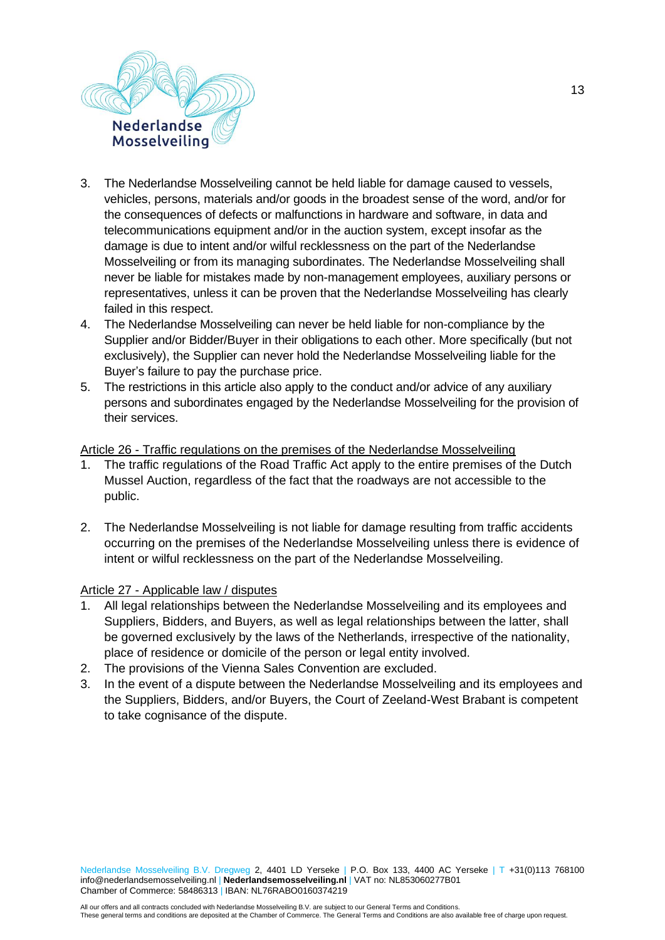

- 3. The Nederlandse Mosselveiling cannot be held liable for damage caused to vessels, vehicles, persons, materials and/or goods in the broadest sense of the word, and/or for the consequences of defects or malfunctions in hardware and software, in data and telecommunications equipment and/or in the auction system, except insofar as the damage is due to intent and/or wilful recklessness on the part of the Nederlandse Mosselveiling or from its managing subordinates. The Nederlandse Mosselveiling shall never be liable for mistakes made by non-management employees, auxiliary persons or representatives, unless it can be proven that the Nederlandse Mosselveiling has clearly failed in this respect.
- 4. The Nederlandse Mosselveiling can never be held liable for non-compliance by the Supplier and/or Bidder/Buyer in their obligations to each other. More specifically (but not exclusively), the Supplier can never hold the Nederlandse Mosselveiling liable for the Buyer's failure to pay the purchase price.
- 5. The restrictions in this article also apply to the conduct and/or advice of any auxiliary persons and subordinates engaged by the Nederlandse Mosselveiling for the provision of their services.

Article 26 - Traffic regulations on the premises of the Nederlandse Mosselveiling

- 1. The traffic regulations of the Road Traffic Act apply to the entire premises of the Dutch Mussel Auction, regardless of the fact that the roadways are not accessible to the public.
- 2. The Nederlandse Mosselveiling is not liable for damage resulting from traffic accidents occurring on the premises of the Nederlandse Mosselveiling unless there is evidence of intent or wilful recklessness on the part of the Nederlandse Mosselveiling.

## Article 27 - Applicable law / disputes

- 1. All legal relationships between the Nederlandse Mosselveiling and its employees and Suppliers, Bidders, and Buyers, as well as legal relationships between the latter, shall be governed exclusively by the laws of the Netherlands, irrespective of the nationality, place of residence or domicile of the person or legal entity involved.
- 2. The provisions of the Vienna Sales Convention are excluded.
- 3. In the event of a dispute between the Nederlandse Mosselveiling and its employees and the Suppliers, Bidders, and/or Buyers, the Court of Zeeland-West Brabant is competent to take cognisance of the dispute.